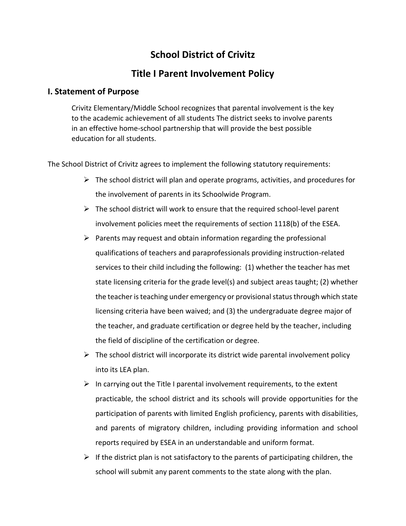## **School District of Crivitz**

## **Title I Parent Involvement Policy**

## **I. Statement of Purpose**

Crivitz Elementary/Middle School recognizes that parental involvement is the key to the academic achievement of all students The district seeks to involve parents in an effective home-school partnership that will provide the best possible education for all students.

The School District of Crivitz agrees to implement the following statutory requirements:

- $\triangleright$  The school district will plan and operate programs, activities, and procedures for the involvement of parents in its Schoolwide Program.
- $\triangleright$  The school district will work to ensure that the required school-level parent involvement policies meet the requirements of section 1118(b) of the ESEA.
- $\triangleright$  Parents may request and obtain information regarding the professional qualifications of teachers and paraprofessionals providing instruction-related services to their child including the following: (1) whether the teacher has met state licensing criteria for the grade level(s) and subject areas taught; (2) whether the teacher is teaching under emergency or provisional status through which state licensing criteria have been waived; and (3) the undergraduate degree major of the teacher, and graduate certification or degree held by the teacher, including the field of discipline of the certification or degree.
- $\triangleright$  The school district will incorporate its district wide parental involvement policy into its LEA plan.
- $\triangleright$  In carrying out the Title I parental involvement requirements, to the extent practicable, the school district and its schools will provide opportunities for the participation of parents with limited English proficiency, parents with disabilities, and parents of migratory children, including providing information and school reports required by ESEA in an understandable and uniform format.
- $\triangleright$  If the district plan is not satisfactory to the parents of participating children, the school will submit any parent comments to the state along with the plan.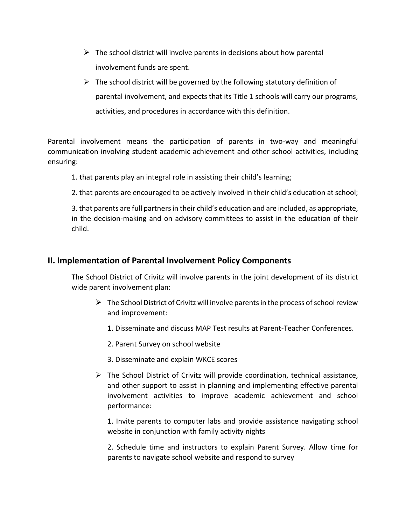- $\triangleright$  The school district will involve parents in decisions about how parental involvement funds are spent.
- $\triangleright$  The school district will be governed by the following statutory definition of parental involvement, and expects that its Title 1 schools will carry our programs, activities, and procedures in accordance with this definition.

Parental involvement means the participation of parents in two-way and meaningful communication involving student academic achievement and other school activities, including ensuring:

1. that parents play an integral role in assisting their child's learning;

2. that parents are encouraged to be actively involved in their child's education at school;

3. that parents are full partners in their child's education and are included, as appropriate, in the decision-making and on advisory committees to assist in the education of their child.

## **II. Implementation of Parental Involvement Policy Components**

The School District of Crivitz will involve parents in the joint development of its district wide parent involvement plan:

- $\triangleright$  The School District of Crivitz will involve parents in the process of school review and improvement:
	- 1. Disseminate and discuss MAP Test results at Parent-Teacher Conferences.
	- 2. Parent Survey on school website
	- 3. Disseminate and explain WKCE scores
- $\triangleright$  The School District of Crivitz will provide coordination, technical assistance, and other support to assist in planning and implementing effective parental involvement activities to improve academic achievement and school performance:

1. Invite parents to computer labs and provide assistance navigating school website in conjunction with family activity nights

2. Schedule time and instructors to explain Parent Survey. Allow time for parents to navigate school website and respond to survey